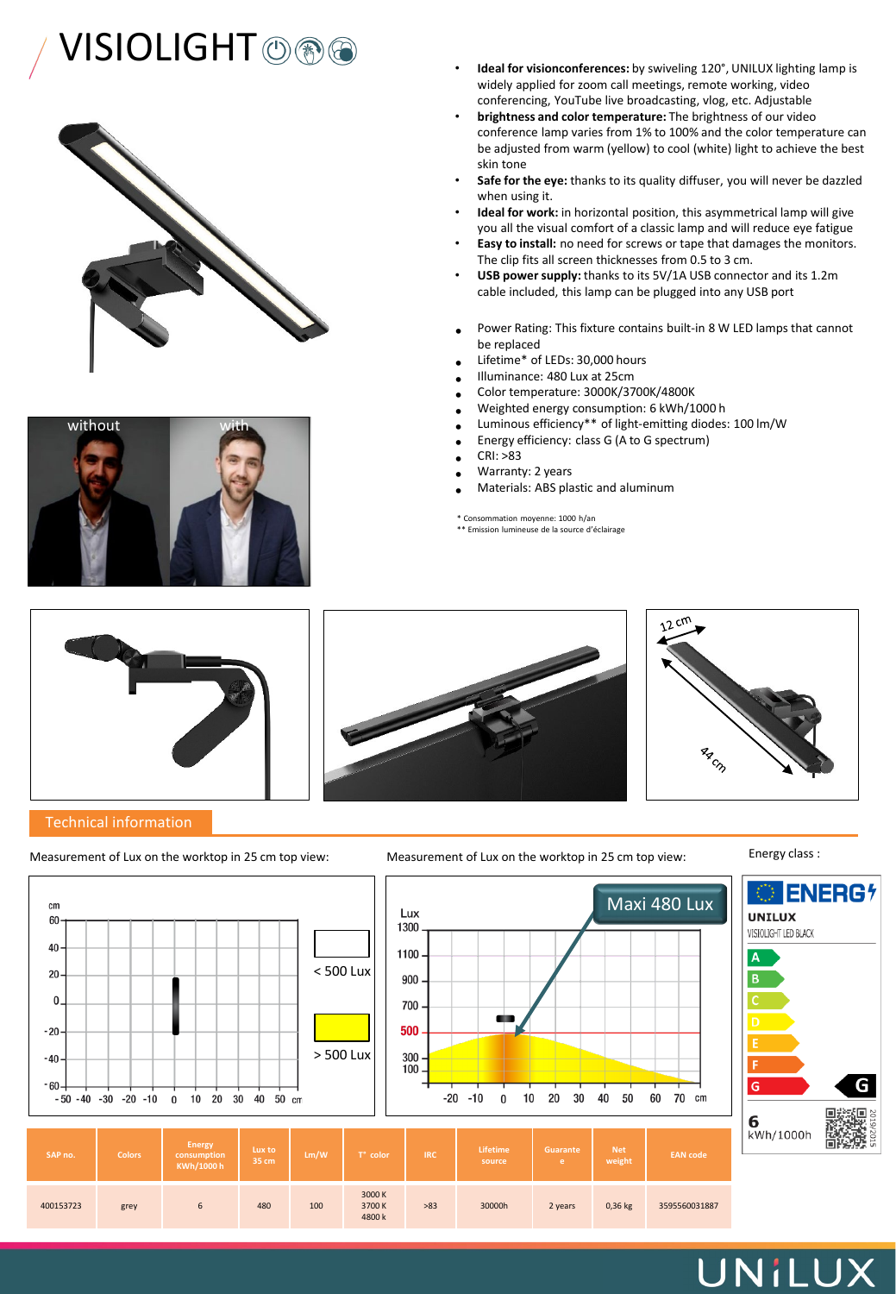# **VISIOLIGHT**  $\circledcirc$   $\circledcirc$   $\bullet$   $\bullet$  **Ideal for visionconferences:** by swiveling 120°, UNILUX lighting lamp is





- widely applied for zoom call meetings, remote working, video conferencing, YouTube live broadcasting, vlog, etc. Adjustable
- **brightness and color temperature:** The brightness of our video conference lamp varies from 1% to 100% and the color temperature can be adjusted from warm (yellow) to cool (white) light to achieve the best skin tone
- **Safe for the eye:** thanks to its quality diffuser, you will never be dazzled when using it.
- **Ideal for work:** in horizontal position, this asymmetrical lamp will give you all the visual comfort of a classic lamp and will reduce eye fatigue
- **Easy to install:** no need for screws or tape that damages the monitors. The clip fits all screen thicknesses from 0.5 to 3 cm.
- **USB power supply:** thanks to its 5V/1A USB connector and its 1.2m cable included, this lamp can be plugged into any USB port
- Power Rating: This fixture contains built-in 8 W LED lamps that cannot be replaced
- Lifetime\* of LEDs: 30,000 hours
- Illuminance: 480 Lux at 25cm
- Color temperature: 3000K/3700K/4800K
- Weighted energy consumption: 6 kWh/1000 h
- Luminous efficiency\*\* of light-emitting diodes: 100 lm/W
- Energy efficiency: class G (A to G spectrum)
- CRI: >83
- Warranty: 2 years
- Materials: ABS plastic and aluminum

\* Consommation moyenne: 1000 h/an \*\* Emission lumineuse de la source d'éclairage



### Technical information







Measurement of Lux on the worktop in 25 cm top view: Measurement of Lux on the worktop in 25 cm top view:

Energy class :



## UNILUX